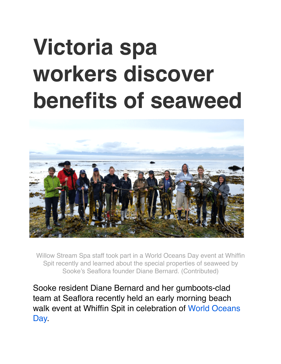## **Victoria spa workers discover benefits of seaweed**



Willow Stream Spa staff took part in a World Oceans Day event at Whiffin Spit recently and learned about the special properties of seaweed by Sooke's Seaflora founder Diane Bernard. (Contributed)

Sooke resident Diane Bernard and her gumboots-clad team at Seaflora recently held an early morning beach walk event at Whiffin Spit in celebration of [World Oceans](http://www.worldoceansday.org/)  [Day.](http://www.worldoceansday.org/)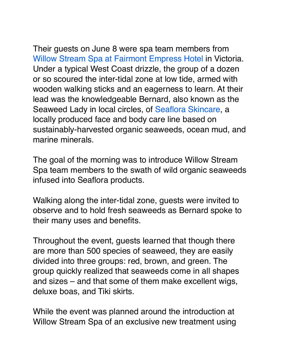Their guests on June 8 were spa team members from [Willow Stream Spa at Fairmont Empress Hotel](http://www.fairmont.com/empress-victoria/willow-stream/) in Victoria. Under a typical West Coast drizzle, the group of a dozen or so scoured the inter-tidal zone at low tide, armed with wooden walking sticks and an eagerness to learn. At their lead was the knowledgeable Bernard, also known as the Seaweed Lady in local circles, of [Seaflora Skincare](https://seafloraskincare.com/), a locally produced face and body care line based on sustainably-harvested organic seaweeds, ocean mud, and marine minerals.

The goal of the morning was to introduce Willow Stream Spa team members to the swath of wild organic seaweeds infused into Seaflora products.

Walking along the inter-tidal zone, guests were invited to observe and to hold fresh seaweeds as Bernard spoke to their many uses and benefits.

Throughout the event, guests learned that though there are more than 500 species of seaweed, they are easily divided into three groups: red, brown, and green. The group quickly realized that seaweeds come in all shapes and sizes – and that some of them make excellent wigs, deluxe boas, and Tiki skirts.

While the event was planned around the introduction at Willow Stream Spa of an exclusive new treatment using